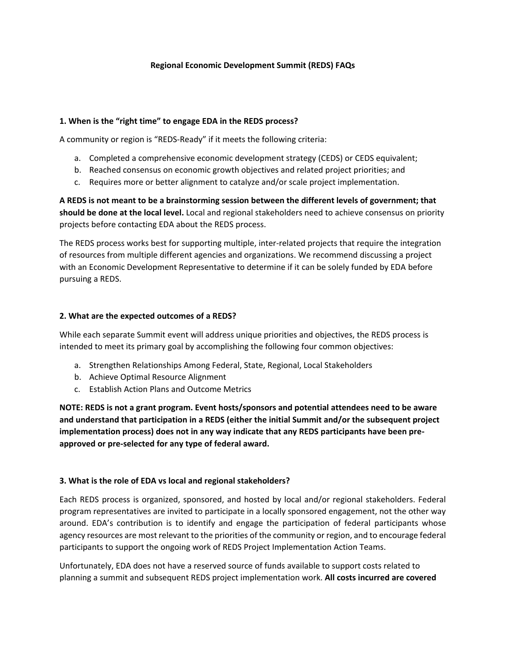## **[Regional Economic Development Summit \(REDS\)](https://eda.gov/integration/reds/) FAQs**

### **1. When is the "right time" to engage EDA in the REDS process?**

A community or region is "REDS-Ready" if it meets the following criteria:

- a. Completed a comprehensive economic development strategy (CEDS) or CEDS equivalent;
- b. Reached consensus on economic growth objectives and related project priorities; and
- c. Requires more or better alignment to catalyze and/or scale project implementation.

**A REDS is not meant to be a brainstorming session between the different levels of government; that should be done at the local level.** Local and regional stakeholders need to achieve consensus on priority projects before contacting EDA about the REDS process.

The REDS process works best for supporting multiple, inter-related projects that require the integration of resources from multiple different agencies and organizations. We recommend discussing a project with an Economic Development Representative to determine if it can be solely funded by EDA before pursuing a REDS.

### **2. What are the expected outcomes of a REDS?**

While each separate Summit event will address unique priorities and objectives, the REDS process is intended to meet its primary goal by accomplishing the following four common objectives:

- a. Strengthen Relationships Among Federal, State, Regional, Local Stakeholders
- b. Achieve Optimal Resource Alignment
- c. Establish Action Plans and Outcome Metrics

**NOTE: REDS is not a grant program. Event hosts/sponsors and potential attendees need to be aware and understand that participation in a REDS (either the initial Summit and/or the subsequent project implementation process) does not in any way indicate that any REDS participants have been preapproved or pre-selected for any type of federal award.** 

### **3. What is the role of EDA vs local and regional stakeholders?**

Each REDS process is organized, sponsored, and hosted by local and/or regional stakeholders. Federal program representatives are invited to participate in a locally sponsored engagement, not the other way around. EDA's contribution is to identify and engage the participation of federal participants whose agency resources are most relevant to the priorities of the community or region, and to encourage federal participants to support the ongoing work of REDS Project Implementation Action Teams.

Unfortunately, EDA does not have a reserved source of funds available to support costs related to planning a summit and subsequent REDS project implementation work. **All costs incurred are covered**